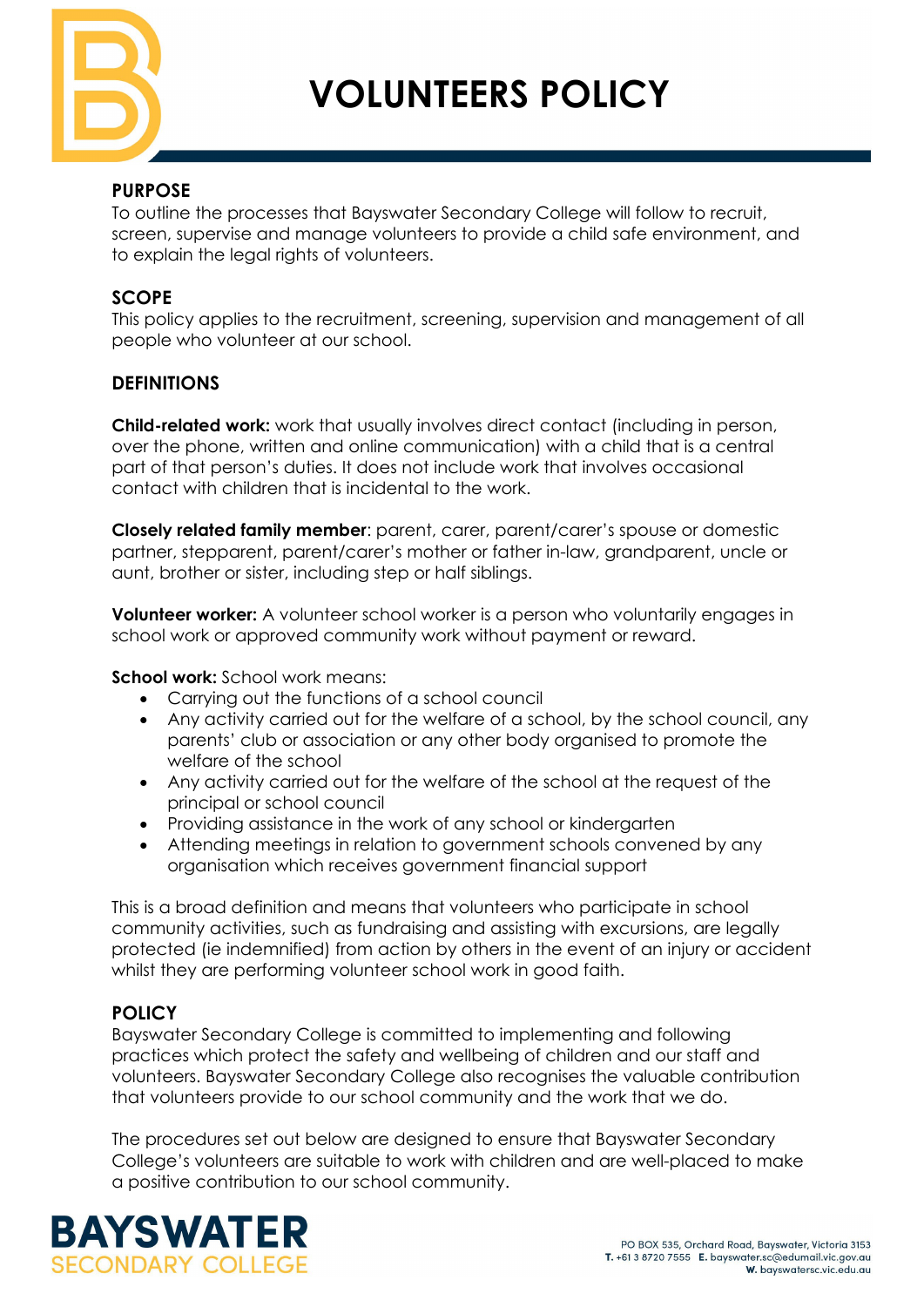

**VOLUNTEERS POLICY**

### **PURPOSE**

To outline the processes that Bayswater Secondary College will follow to recruit, screen, supervise and manage volunteers to provide a child safe environment, and to explain the legal rights of volunteers.

### **SCOPE**

This policy applies to the recruitment, screening, supervision and management of all people who volunteer at our school.

### **DEFINITIONS**

**Child-related work:** work that usually involves direct contact (including in person, over the phone, written and online communication) with a child that is a central part of that person's duties. It does not include work that involves occasional contact with children that is incidental to the work.

**Closely related family member**: parent, carer, parent/carer's spouse or domestic partner, stepparent, parent/carer's mother or father in-law, grandparent, uncle or aunt, brother or sister, including step or half siblings.

**Volunteer worker:** A volunteer school worker is a person who voluntarily engages in school work or approved community work without payment or reward.

**School work:** School work means:

- Carrying out the functions of a school council
- Any activity carried out for the welfare of a school, by the school council, any parents' club or association or any other body organised to promote the welfare of the school
- Any activity carried out for the welfare of the school at the request of the principal or school council
- Providing assistance in the work of any school or kindergarten
- Attending meetings in relation to government schools convened by any organisation which receives government financial support

This is a broad definition and means that volunteers who participate in school community activities, such as fundraising and assisting with excursions, are legally protected (ie indemnified) from action by others in the event of an injury or accident whilst they are performing volunteer school work in good faith.

## **POLICY**

Bayswater Secondary College is committed to implementing and following practices which protect the safety and wellbeing of children and our staff and volunteers. Bayswater Secondary College also recognises the valuable contribution that volunteers provide to our school community and the work that we do.

The procedures set out below are designed to ensure that Bayswater Secondary College's volunteers are suitable to work with children and are well-placed to make a positive contribution to our school community.

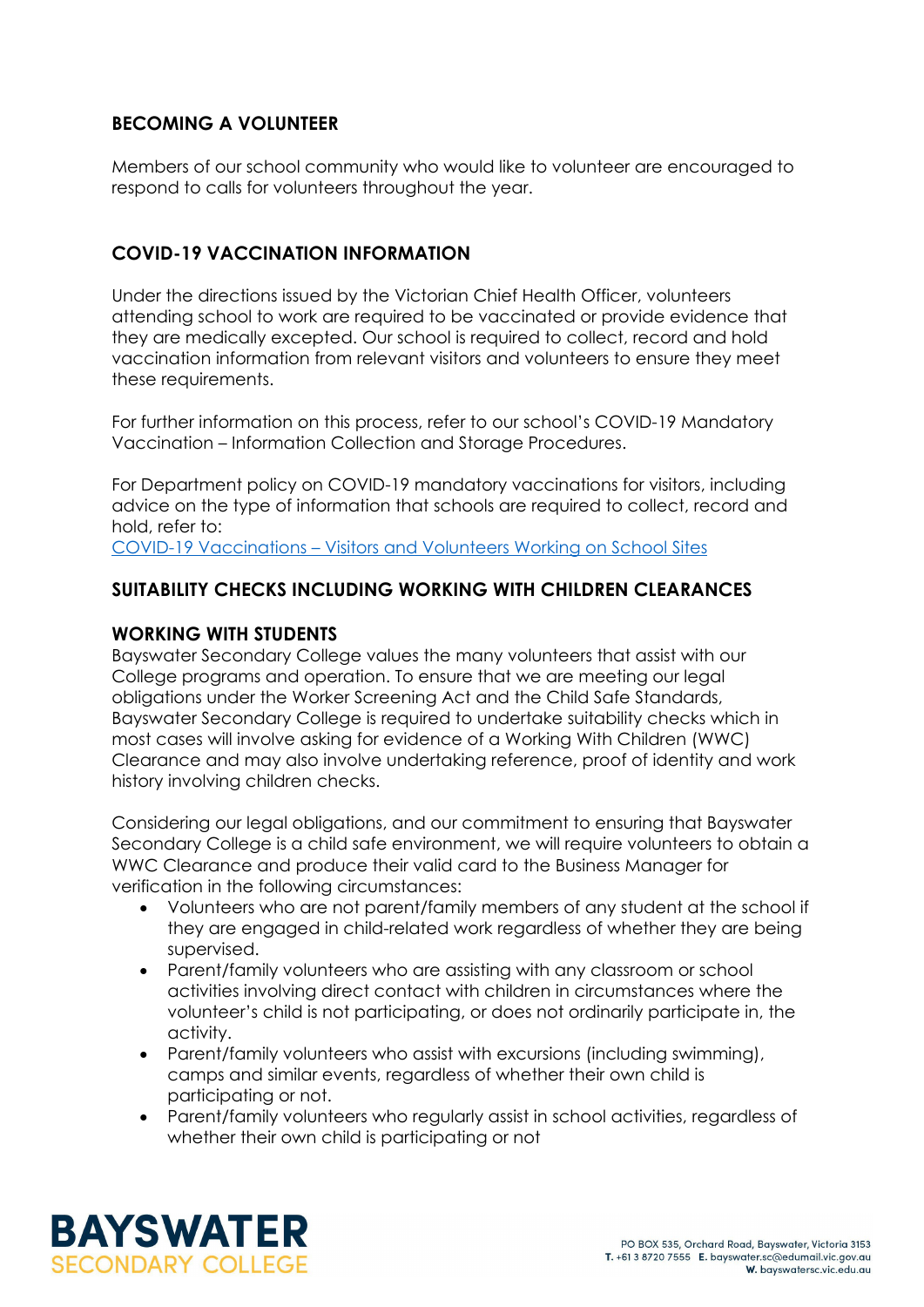# **BECOMING A VOLUNTEER**

Members of our school community who would like to volunteer are encouraged to respond to calls for volunteers throughout the year.

# **COVID-19 VACCINATION INFORMATION**

Under the directions issued by the Victorian Chief Health Officer, volunteers attending school to work are required to be vaccinated or provide evidence that they are medically excepted. Our school is required to collect, record and hold vaccination information from relevant visitors and volunteers to ensure they meet these requirements.

For further information on this process, refer to our school's COVID-19 Mandatory Vaccination – Information Collection and Storage Procedures.

For Department policy on COVID-19 mandatory vaccinations for visitors, including advice on the type of information that schools are required to collect, record and hold, refer to:

COVID-19 Vaccinations – [Visitors and Volunteers Working on School Sites](https://www2.education.vic.gov.au/pal/covid-19-vaccinations-visitors-volunteers/policy)

# **SUITABILITY CHECKS INCLUDING WORKING WITH CHILDREN CLEARANCES**

### **WORKING WITH STUDENTS**

Bayswater Secondary College values the many volunteers that assist with our College programs and operation. To ensure that we are meeting our legal obligations under the Worker Screening Act and the Child Safe Standards, Bayswater Secondary College is required to undertake suitability checks which in most cases will involve asking for evidence of a Working With Children (WWC) Clearance and may also involve undertaking reference, proof of identity and work history involving children checks.

Considering our legal obligations, and our commitment to ensuring that Bayswater Secondary College is a child safe environment, we will require volunteers to obtain a WWC Clearance and produce their valid card to the Business Manager for verification in the following circumstances:

- Volunteers who are not parent/family members of any student at the school if they are engaged in child-related work regardless of whether they are being supervised.
- Parent/family volunteers who are assisting with any classroom or school activities involving direct contact with children in circumstances where the volunteer's child is not participating, or does not ordinarily participate in, the activity.
- Parent/family volunteers who assist with excursions (including swimming), camps and similar events, regardless of whether their own child is participating or not.
- Parent/family volunteers who regularly assist in school activities, regardless of whether their own child is participating or not

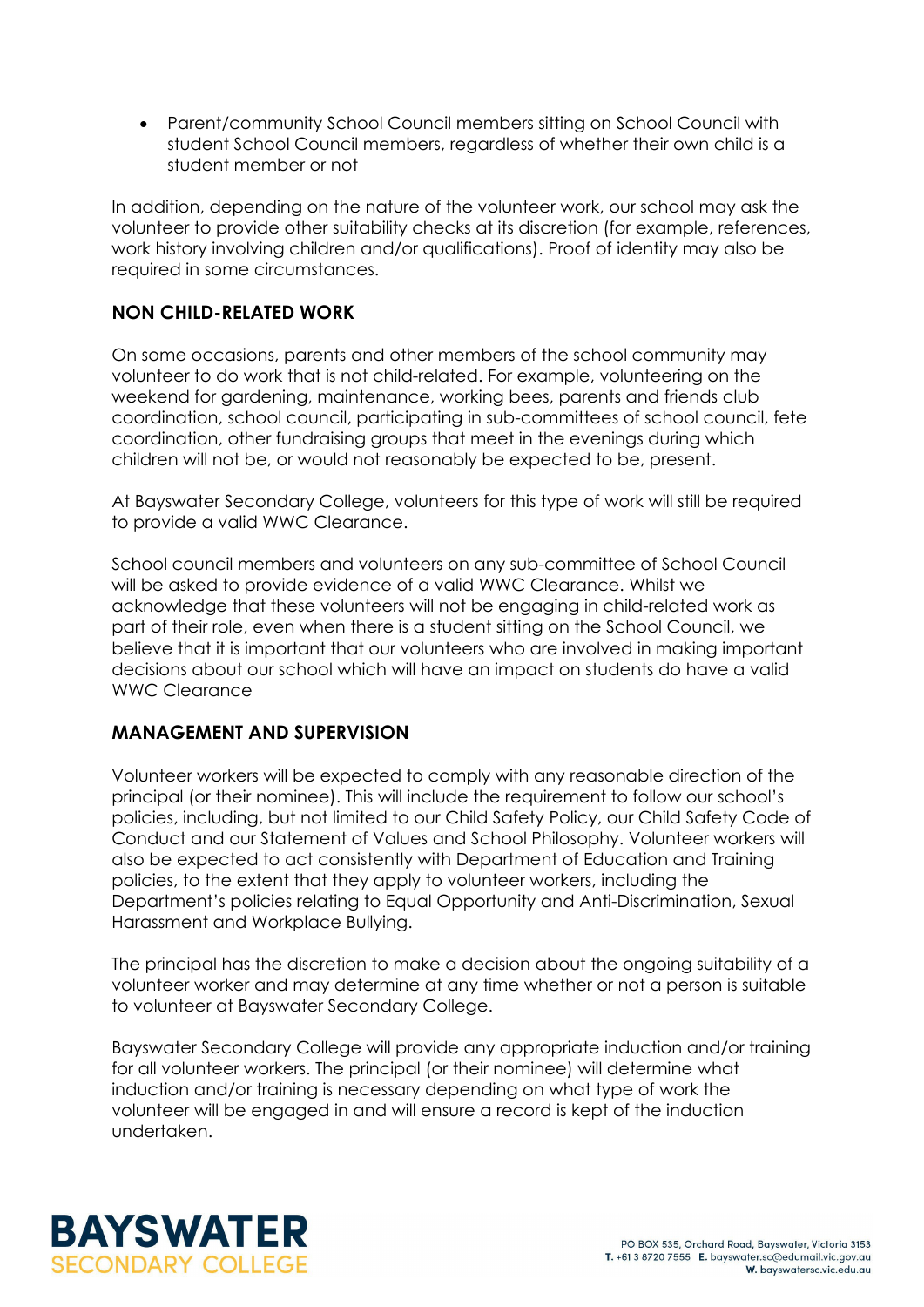• Parent/community School Council members sitting on School Council with student School Council members, regardless of whether their own child is a student member or not

In addition, depending on the nature of the volunteer work, our school may ask the volunteer to provide other suitability checks at its discretion (for example, references, work history involving children and/or qualifications). Proof of identity may also be required in some circumstances.

# **NON CHILD-RELATED WORK**

On some occasions, parents and other members of the school community may volunteer to do work that is not child-related. For example, volunteering on the weekend for gardening, maintenance, working bees, parents and friends club coordination, school council, participating in sub-committees of school council, fete coordination, other fundraising groups that meet in the evenings during which children will not be, or would not reasonably be expected to be, present.

At Bayswater Secondary College, volunteers for this type of work will still be required to provide a valid WWC Clearance.

School council members and volunteers on any sub-committee of School Council will be asked to provide evidence of a valid WWC Clearance. Whilst we acknowledge that these volunteers will not be engaging in child-related work as part of their role, even when there is a student sitting on the School Council, we believe that it is important that our volunteers who are involved in making important decisions about our school which will have an impact on students do have a valid WWC Clearance

## **MANAGEMENT AND SUPERVISION**

Volunteer workers will be expected to comply with any reasonable direction of the principal (or their nominee). This will include the requirement to follow our school's policies, including, but not limited to our Child Safety Policy, our Child Safety Code of Conduct and our Statement of Values and School Philosophy. Volunteer workers will also be expected to act consistently with Department of Education and Training policies, to the extent that they apply to volunteer workers, including the Department's policies relating to Equal Opportunity and Anti-Discrimination, Sexual Harassment and Workplace Bullying.

The principal has the discretion to make a decision about the ongoing suitability of a volunteer worker and may determine at any time whether or not a person is suitable to volunteer at Bayswater Secondary College.

Bayswater Secondary College will provide any appropriate induction and/or training for all volunteer workers. The principal (or their nominee) will determine what induction and/or training is necessary depending on what type of work the volunteer will be engaged in and will ensure a record is kept of the induction undertaken.

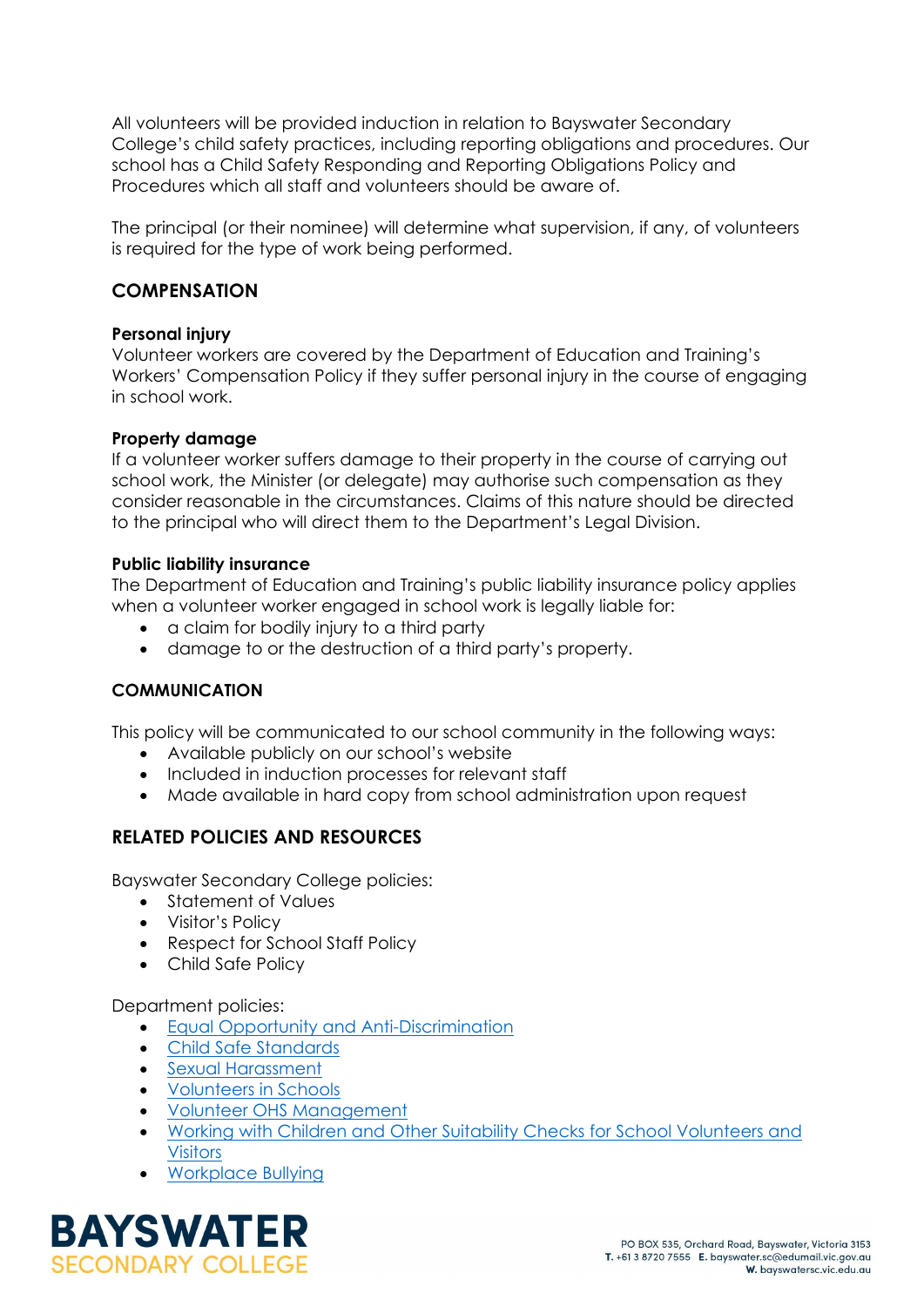All volunteers will be provided induction in relation to Bayswater Secondary College's child safety practices, including reporting obligations and procedures. Our school has a Child Safety Responding and Reporting Obligations Policy and Procedures which all staff and volunteers should be aware of.

The principal (or their nominee) will determine what supervision, if any, of volunteers is required for the type of work being performed.

### **COMPENSATION**

#### **Personal injury**

Volunteer workers are covered by the Department of Education and Training's Workers' Compensation Policy if they suffer personal injury in the course of engaging in school work.

#### **Property damage**

If a volunteer worker suffers damage to their property in the course of carrying out school work, the Minister (or delegate) may authorise such compensation as they consider reasonable in the circumstances. Claims of this nature should be directed to the principal who will direct them to the Department's Legal Division.

#### **Public liability insurance**

The Department of Education and Training's public liability insurance policy applies when a volunteer worker engaged in school work is legally liable for:

- a claim for bodily injury to a third party
- damage to or the destruction of a third party's property.

### **COMMUNICATION**

This policy will be communicated to our school community in the following ways:

- Available publicly on our school's website
- Included in induction processes for relevant staff
- Made available in hard copy from school administration upon request

## **RELATED POLICIES AND RESOURCES**

Bayswater Secondary College policies:

- Statement of Values
- Visitor's Policy
- Respect for School Staff Policy
- Child Safe Policy

#### Department policies:

- [Equal Opportunity and Anti-Discrimination](https://www2.education.vic.gov.au/pal/equal-opportunity/policy-and-guidelines)
- [Child Safe Standards](https://www2.education.vic.gov.au/pal/child-safe-standards/policy)
- [Sexual Harassment](https://www2.education.vic.gov.au/pal/sexual-harassment/policy-and-guidelines)
- [Volunteers in Schools](https://www2.education.vic.gov.au/pal/volunteers/policy)
- [Volunteer OHS Management](https://www2.education.vic.gov.au/pal/volunteer-ohs-management/policy)
- [Working with Children and Other Suitability Checks for School Volunteers and](https://www2.education.vic.gov.au/pal/suitability-checks/policy)  **[Visitors](https://www2.education.vic.gov.au/pal/suitability-checks/policy)**
- [Workplace Bullying](https://www2.education.vic.gov.au/pal/workplace-bullying/policy)